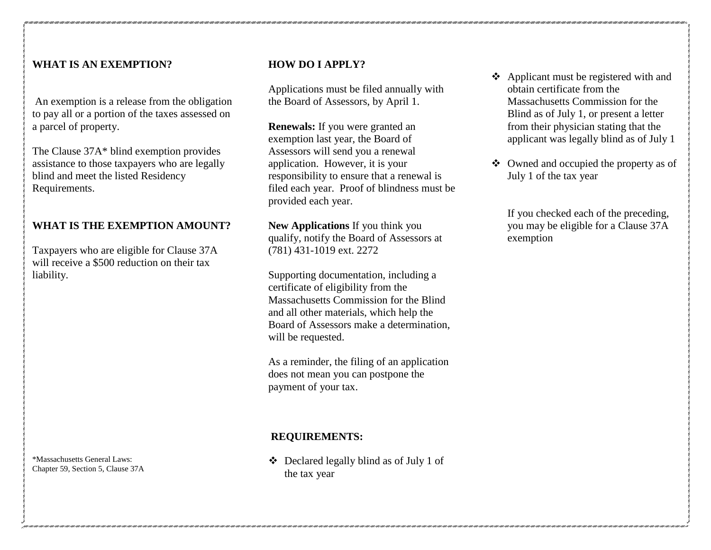## **WHAT IS AN EXEMPTION?**

An exemption is a release from the obligation to pay all or a portion of the taxes assessed on a parcel of property.

The Clause 37A\* blind exemption provides assistance to those taxpayers who are legally blind and meet the listed Residency Requirements.

# **WHAT IS THE EXEMPTION AMOUNT?**

Taxpayers who are eligible for Clause 37A will receive a \$500 reduction on their tax liability.

\*Massachusetts General Laws: Chapter 59, Section 5, Clause 37A

## **HOW DO I APPLY?**

Applications must be filed annually with the Board of Assessors, by April 1.

**Renewals:** If you were granted an exemption last year, the Board of Assessors will send you a renewal application. However, it is your responsibility to ensure that a renewal is filed each year. Proof of blindness must be provided each year.

**New Applications** If you think you qualify, notify the Board of Assessors at (781) 431-1019 ext. 2272

Supporting documentation, including a certificate of eligibility from the Massachusetts Commission for the Blind and all other materials, which help the Board of Assessors make a determination, will be requested.

As a reminder, the filing of an application does not mean you can postpone the payment of your tax.

#### **REQUIREMENTS:**

 Declared legally blind as of July 1 of the tax year

- Applicant must be registered with and obtain certificate from the Massachusetts Commission for the Blind as of July 1, or present a letter from their physician stating that the applicant was legally blind as of July 1
- Owned and occupied the property as of July 1 of the tax year

If you checked each of the preceding, you may be eligible for a Clause 37A exemption